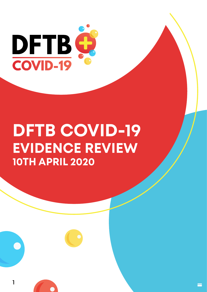

# **DFTB COVID-19 EVIDENCE REVIEW 10TH APRIL 2020**

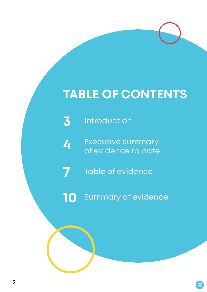# **TABLE OF CONTENTS**

- Introduction
- Executive summary of evidence to date
- Table of evidence
- Summary of evidence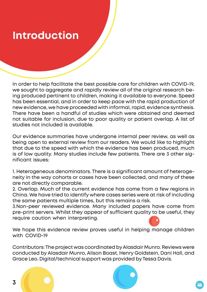### **Introduction**

In order to help facilitate the best possible care for children with COVID-19, we sought to aggregate and rapidly review all of the original research being produced pertinent to children, making it available to everyone. Speed has been essential, and in order to keep pace with the rapid production of new evidence, we have proceeded with informal, rapid, evidence synthesis. There have been a handful of studies which were obtained and deemed not suitable for inclusion, due to poor quality or patient overlap. A list of studies not included is available.

Our evidence summaries have undergone internal peer review, as well as being open to external review from our readers. We would like to highlight that due to the speed with which the evidence has been produced, much is of low quality. Many studies include few patients. There are 3 other significant issues:

1. Heterogeneous denominators. There is a significant amount of heterogeneity in the way cohorts or cases have been collected, and many of these are not directly comparable.

2. Overlap. Much of the current evidence has come from a few regions in China. We have tried to identify where cases series were at risk of including the same patients multiple times, but this remains a risk.

3.Non-peer reviewed evidence. Many included papers have come from pre-print servers. Whilst they appear of sufficient quality to be useful, they require caution when interpreting.

We hope this evidence review proves useful in helping manage children with COVID-19

Contributors: The project was coordinated by Alasdair Munro. Reviews were conducted by Alasdair Munro, Alison Boast, Henry Goldstein, Dani Hall, and Grace Leo. Digital/technical support was provided by Tessa Davis.

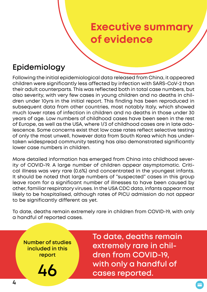## **Executive summary of evidence**

#### **Epidemiology**

Following the initial epidemiological data released from China, it appeared children were significantly less affected by infection with SARS-CoV-2 than their adult counterparts. This was reflected both in total case numbers, but also severity, with very few cases in young children and no deaths in children under 10yrs in the initial report. This finding has been reproduced in subsequent data from other countries, most notably Italy, which showed much lower rates of infection in children and no deaths in those under 30 years of age. Low numbers of childhood cases have been seen in the rest of Europe, as well as the USA, where 1/3 of childhood cases are in late adolescence. Some concerns exist that low case rates reflect selective testing of only the most unwell, however data from South Korea which has undertaken widespread community testing has also demonstrated significantly lower case numbers in children.

More detailed information has emerged from China into childhood severity of COVID-19. A large number of children appear asymptomatic. Critical illness was very rare (0.6%) and concentrated in the youngest infants. It should be noted that large numbers of "suspected" cases in this group leave room for a significant number of illnesses to have been caused by other, familiar respiratory viruses. In the USA CDC data, infants appear most likely to be hospitalised, although rates of PICU admission do not appear to be significantly different as yet.

To date, deaths remain extremely rare in children from COVID-19, with only a handful of reported cases.

**Number of studies included in this report**

**46**

**To date, deaths remain extremely rare in children from COVID-19, with only a handful of cases reported.**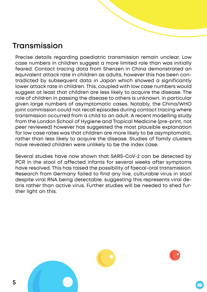#### **Transmission**

**5**

Precise details regarding paediatric transmission remain unclear. Low case numbers in children suggest a more limited role than was initially feared. Contact tracing data from Shenzen in China demonstrated an equivalent attack rate in children as adults, however this has been contradicted by subsequent data in Japan which showed a significantly lower attack rate in children. This, coupled with low case numbers would suggest at least that children are less likely to acquire the disease. The role of children in passing the disease to others is unknown, in particular given large numbers of asymptomatic cases. Notably, the China/WHO joint commission could not recall episodes during contact tracing where transmission occurred from a child to an adult. A recent modelling study from the London School of Hygiene and Tropical Medicine (pre-print, not peer reviewed) however has suggested the most plausible explanation for low case rates was that children are more likely to be asymptomatic, rather than less likely to acquire the disease. Studies of family clusters have revealed children were unlikely to be the index case.

Several studies have now shown that SARS-CoV-2 can be detected by PCR in the stool of affected infants for several weeks after symptoms have resolved. This has raised the possibility of faecal-oral transmission. Research from Germany failed to find any live, culturable virus in stool despite viral RNA being detectable, suggesting this represents viral debris rather than active virus. Further studies will be needed to shed further light on this.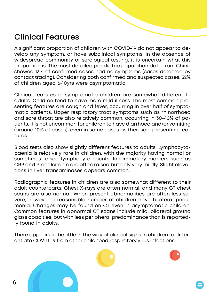#### **Clinical Features**

A significant proportion of children with COVID-19 do not appear to develop any symptom, or have subclinical symptoms. In the absence of widespread community or serological testing, it is uncertain what this proportion is. The most detailed paediatric population data from China showed 13% of confirmed cases had no symptoms (cases detected by contact tracing). Considering both confirmed and suspected cases, 32% of children aged 6-10yrs were asymptomatic.

Clinical features in symptomatic children are somewhat different to adults. Children tend to have more mild illness. The most common presenting features are cough and fever, occurring in over half of symptomatic patients. Upper respiratory tract symptoms such as rhinorrhoea and sore throat are also relatively common, occurring in 30-40% of patients. It is not uncommon for children to have diarrhoea and/or vomiting (around 10% of cases), even in some cases as their sole presenting features.

Blood tests also show slightly different features to adults. Lymphocytopaenia is relatively rare in children, with the majority having normal or sometimes raised lymphocyte counts. Inflammatory markers such as CRP and Procalcitonin are often raised but only very mildly. Slight elevations in liver transaminases appears common.

Radiographic features in children are also somewhat different to their adult counterparts. Chest X-rays are often normal, and many CT chest scans are also normal. When present abnormalities are often less severe, however a reasonable number of children have bilateral pneumonia. Changes may be found on CT even in asymptomatic children. Common features in abnormal CT scans include mild, bilateral ground glass opacities, but with less peripheral predominance than is reportedly found in adults.

There appears to be little in the way of clinical signs in children to differentiate COVID-19 from other childhood respiratory virus infections.



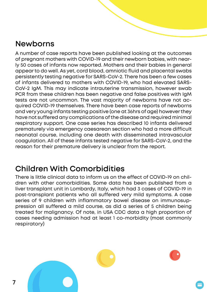#### **Newborns**

A number of case reports have been published looking at the outcomes of pregnant mothers with COVID-19 and their newborn babies, with nearly 50 cases of infants now reported. Mothers and their babies in general appear to do well. As yet, cord blood, amniotic fluid and placental swabs persistently testing negative for SARS-CoV-2. There has been a few cases of infants delivered to mothers with COVID-19, who had elevated SARS-CoV-2 IgM. This may indicate intrauterine transmission, however swab PCR from these children has been negative and false positives with IgM tests are not uncommon. The vast majority of newborns have not acquired COVID-19 themselves. There have been case reports of newborns and very young infants testing positive (one at 36hrs of age) however they have not suffered any complications of the disease and required minimal respiratory support. One case series has described 10 infants delivered prematurely via emergency caesarean section who had a more difficult neonatal course, including one death with disseminated intravascular coagulation. All of these infants tested negative for SARS-CoV-2, and the reason for their premature delivery is unclear from the report.

#### **Children With Comorbidities**

There is little clinical data to inform us on the effect of COVID-19 on children with other comorbidities. Some data has been published from a liver transplant unit in Lombardy, Italy, which had 3 cases of COVID-19 in post-transplant patients who all suffered very mild symptoms. A case series of 9 children with inflammatory bowel disease on immunosuppression all suffered a mild course, as did a series of 5 children being treated for malignancy. Of note, in USA CDC data a high proportion of cases needing admission had at least 1 co-morbidity (most commonly respiratory)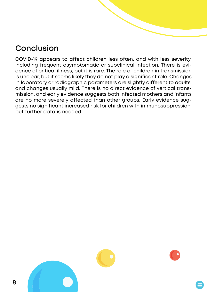#### **Conclusion**

COVID-19 appears to affect children less often, and with less severity, including frequent asymptomatic or subclinical infection. There is evidence of critical illness, but it is rare. The role of children in transmission is unclear, but it seems likely they do not play a significant role. Changes in laboratory or radiographic parameters are slightly different to adults, and changes usually mild. There is no direct evidence of vertical transmission, and early evidence suggests both infected mothers and infants are no more severely affected than other groups. Early evidence suggests no significant increased risk for children with immunosuppression, but further data is needed.



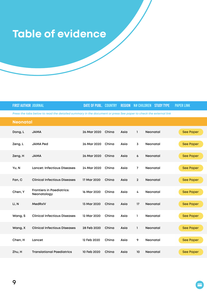# **Table of evidence**

| <b>FIRST AUTHOR JOURNAL</b> |                                                                                                                 | DATE OF PUBL. COUNTRY |       | <b>REGION</b> | <b>N# CHILDREN</b> |  | <b>STUDY TYPE</b> | <b>PAPER LINK</b> |  |
|-----------------------------|-----------------------------------------------------------------------------------------------------------------|-----------------------|-------|---------------|--------------------|--|-------------------|-------------------|--|
|                             | Press the tabs below to read the detailed summary in the document or press See paper to check the external link |                       |       |               |                    |  |                   |                   |  |
| <b>Neonatal</b>             |                                                                                                                 |                       |       |               |                    |  |                   |                   |  |
| Dong, L                     | <b>JAMA</b>                                                                                                     | 26 Mar 2020           | China | Asia          | 1.                 |  | <b>Neonatal</b>   | <b>See Paper</b>  |  |
| Zeng, L                     | <b>JAMA Ped</b>                                                                                                 | 26 Mar 2020           | China | Asia          | 3                  |  | Neonatal          | <b>See Paper</b>  |  |
| Zeng, H                     | <b>JAMA</b>                                                                                                     | 26 Mar 2020           | China | Asia          | 6                  |  | <b>Neonatal</b>   | <b>See Paper</b>  |  |
| Yu, N                       | <b>Lancet: Infectious DIseases</b>                                                                              | 24 Mar 2020           | China | Asia          | $\overline{7}$     |  | Neonatal          | <b>See Paper</b>  |  |
| Fan, C                      | <b>Clinical Infectious Diseases</b>                                                                             | 17 Mar 2020           | China | Asia          | $\mathbf{2}$       |  | Neonatal          | <b>See Paper</b>  |  |
| Chen, Y                     | <b>Frontiers in Paediatrics:</b><br>Neonatology                                                                 | 16 Mar 2020           | China | Asia          | 4                  |  | <b>Neonatal</b>   | <b>See Paper</b>  |  |
| Li, N                       | MedRxIV                                                                                                         | 13 Mar 2020           | China | Asia          | 17                 |  | Neonatal          | <b>See Paper</b>  |  |
| Wang, S                     | <b>Clinical Infectious Diseases</b>                                                                             | 12 Mar 2020           | China | Asia          | ı.                 |  | Neonatal          | <b>See Paper</b>  |  |
| Wang, X                     | <b>Clinical Infectious Diseases</b>                                                                             | 28 Feb 2020           | China | Asia          | L                  |  | Neonatal          | <b>See Paper</b>  |  |
| Chen, H                     | Lancet                                                                                                          | 12 Feb 2020           | China | Asia          | 9                  |  | Neonatal          | <b>See Paper</b>  |  |
| Zhu, H                      | <b>Translational Paediatrics</b>                                                                                | 10 Feb 2020           | China | Asia          | 10                 |  | <b>Neonatal</b>   | <b>See Paper</b>  |  |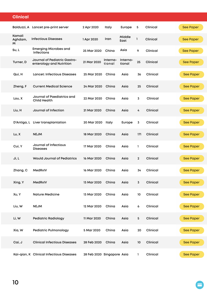#### **Clinical**

|                        | Balduzzi, A Lancet pre-print server                      | 2 Apr 2020                 | <b>Italy</b>       | Europe             | 5            | Clinical | <b>See Paper</b> |  |
|------------------------|----------------------------------------------------------|----------------------------|--------------------|--------------------|--------------|----------|------------------|--|
| Kamali<br>Aghdam,<br>M | <b>Infectious Diseases</b>                               | 1 Apr 2020                 | Iran               | Middle<br>East     | 1            | Clinical | <b>See Paper</b> |  |
| Su, L                  | <b>Emerging Microbes and</b><br><b>Infections</b>        | 25 Mar 2020                | China              | Asia               | 9            | Clinical | <b>See Paper</b> |  |
| Turner, D              | Journal of Pediatric Gastro-<br>enterology and Nutrition | 21 Mar 2020                | Interna-<br>tional | Interna-<br>tional | 25           | Clinical | <b>See Paper</b> |  |
| Qui, H                 | <b>Lancet: Infectious Diseases</b>                       | 25 Mar 2020                | China              | Asia               | 36           | Clinical | <b>See Paper</b> |  |
| Zheng, F               | <b>Current Medical Science</b>                           | 24 Mar 2020                | China              | Asia               | 25           | Clinical | <b>See Paper</b> |  |
| Lou, $X$               | Journal of Paediatrics and<br><b>Child Health</b>        | 22 Mar 2020                | China              | Asia               | 3            | Clinical | <b>See Paper</b> |  |
| Liu, H                 | Journal of Infection                                     | 21 Mar 2020                | China              | Asia               | 4            | Clinical | <b>See Paper</b> |  |
| D'Antiga, L            | Liver transplantation                                    | 20 Mar 2020                | Italy              | Europe             | 3            | Clinical | <b>See Paper</b> |  |
| Lu, X                  | <b>NEJM</b>                                              | 18 Mar 2020                | China              | Asia               | 171          | Clinical | <b>See Paper</b> |  |
| Cui, Y                 | Journal of Infectious<br><b>Diseases</b>                 | 17 Mar 2020                | China              | Asia               | L            | Clinical | <b>See Paper</b> |  |
| Ji, L                  | <b>Would Journal of Pediatrics</b>                       | 16 Mar 2020                | China              | Asia               | $\mathbf{2}$ | Clinical | <b>See Paper</b> |  |
| Zhang, C               | MedRxIV                                                  | 16 Mar 2020                | China              | Asia               | 34           | Clinical | <b>See Paper</b> |  |
| Xing, Y                | MedRxIV                                                  | 13 Mar 2020                | China              | Asia               | 3            | Clinical | <b>See Paper</b> |  |
| Xu, Y                  | <b>Nature Medicine</b>                                   | 13 Mar 2020                | China              | Asia               | 10           | Clinical | <b>See Paper</b> |  |
| Liu, W                 | <b>NEJM</b>                                              | 12 Mar 2020                | China              | Asia               | 6            | Clinical | <b>See Paper</b> |  |
| Li, W                  | <b>Pediatric Radiology</b>                               | 11 Mar 2020                | China              | Asia               | 5            | Clinical | <b>See Paper</b> |  |
| Xia, W                 | <b>Pediatric Pulmonology</b>                             | 5 Mar 2020                 | China              | Asia               | 20           | Clinical | <b>See Paper</b> |  |
| Cai, J                 | <b>Clinical Infectious Diseases</b>                      | 28 Feb 2020                | China              | Asia               | $10$         | Clinical | <b>See Paper</b> |  |
|                        | Kai-qian, K Clinical Infectious Diseases                 | 28 Feb 2020 Singapore Asia |                    |                    | Τ.           | Clinical | <b>See Paper</b> |  |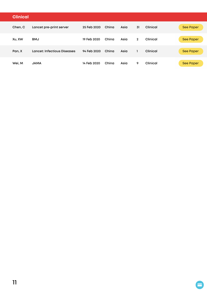| <b>Clinical</b> |                             |             |       |      |                |          |                  |  |
|-----------------|-----------------------------|-------------|-------|------|----------------|----------|------------------|--|
| Chen, C         | Lancet pre-print server     | 25 Feb 2020 | China | Asia | 31             | Clinical | <b>See Paper</b> |  |
| Xu, XW          | <b>BMJ</b>                  | 19 Feb 2020 | China | Asia | $\overline{2}$ | Clinical | <b>See Paper</b> |  |
| Pan, X          | Lancet: Infectious Diseases | 94 Feb 2020 | China | Asia |                | Clinical | <b>See Paper</b> |  |
| Wei, M          | <b>JAMA</b>                 | 14 Feb 2020 | China | Asia | 9              | Clinical | <b>See Paper</b> |  |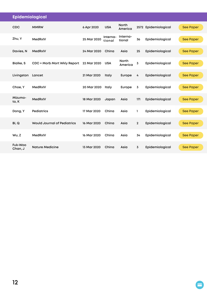| <b>Epidemiological</b> |                                    |             |                    |                         |              |                      |                  |
|------------------------|------------------------------------|-------------|--------------------|-------------------------|--------------|----------------------|------------------|
| <b>CDC</b>             | <b>MMRW</b>                        | 6 Apr 2020  | <b>USA</b>         | <b>North</b><br>America |              | 2572 Epidemiological | <b>See Paper</b> |
| Zhu, Y                 | MedRxIV                            | 25 Mar 2020 | Interna-<br>tional | Interna-<br>tional      | 36           | Epidemiological      | <b>See Paper</b> |
| Davies, N              | MedRxIV                            | 24 Mar 2020 | China              | Asia                    | 25           | Epidemiological      | <b>See Paper</b> |
| <b>Bialke, S</b>       | CDC + Morb Mort Wkly Report        | 22 Mar 2020 | <b>USA</b>         | <b>North</b><br>America | 3            | Epidemiological      | <b>See Paper</b> |
| Livingston             | Lancet                             | 21 Mar 2020 | <b>Italy</b>       | Europe                  | 4            | Epidemiological      | <b>See Paper</b> |
| Choe, Y                | MedRxIV                            | 20 Mar 2020 | Italy              | Europe                  | 3            | Epidemiological      | <b>See Paper</b> |
| Mizumo-<br>to, K       | <b>MedRxIV</b>                     | 18 Mar 2020 | Japan              | Asia                    | 171          | Epidemiological      | <b>See Paper</b> |
| Dong, Y                | <b>Pediatrics</b>                  | 17 Mar 2020 | China              | Asia                    | Т.           | Epidemiological      | <b>See Paper</b> |
| Bi, Q                  | <b>Would Journal of Pediatrics</b> | 16 Mar 2020 | China              | Asia                    | $\mathbf{2}$ | Epidemiological      | <b>See Paper</b> |
| Wu, Z                  | MedRxIV                            | 16 Mar 2020 | China              | Asia                    | 34           | Epidemiological      | <b>See Paper</b> |
| Fuk-Woo<br>Chan, J     | <b>Nature Medicine</b>             | 13 Mar 2020 | China              | Asia                    | 3            | Epidemiological      | <b>See Paper</b> |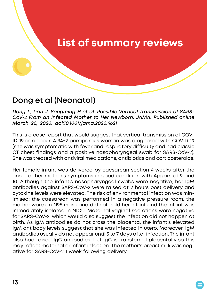### **List of summary reviews**

#### **Dong et al (Neonatal)**

*Dong L, Tian J, Songming H et al. Possible Vertical Transmission of SARS-CoV-2 From an Infected Mother to Her Newborn. JAMA. Published online March 26, 2020. doi:10.1001/jama.2020.4621*

This is a case report that would suggest that vertical transmission of COV-ID-19 can occur. A 34+2 primiparous woman was diagnosed with COVID-19 (she was symptomatic with fever and respiratory difficulty and had classic CT chest findings and a positive nasopharyngeal swab for SARS-CoV-2). She was treated with antiviral medications, antibiotics and corticosteroids.

Her female infant was delivered by caesarean section 4 weeks after the onset of her mother's symptoms in good condition with Apgars of 9 and 10. Although the infant's nasopharyngeal swabs were negative, her IgM antibodies against SARS-CoV-2 were raised at 2 hours post delivery and cytokine levels were elevated. The risk of environmental infection was minimised: the caesarean was performed in a negative pressure room, the mother wore an N95 mask and did not hold her infant and the infant was immediately isolated in NICU. Maternal vaginal secretions were negative for SARS-CoV-2, which would also suggest the infection did not happen at birth. As IgM antibodies do not cross the placenta, the infant's elevated IgM antibody levels suggest that she was infected in utero. Moreover, IgM antibodies usually do not appear until 3 to 7 days after infection. The infant also had raised IgG antibodies, but IgG is transferred placentally so this may reflect maternal or infant infection. The mother's breast milk was negative for SARS-CoV-2 1 week following delivery.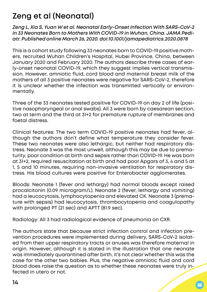#### **Zeng et al (Neonatal)**

*Zeng L, Xia S, Yuan W et al. Neonatal Early-Onset Infection With SARS-CoV-2 in 33 Neonates Born to Mothers With COVID-19 in Wuhan, China. JAMA Pediatr. Published online March 26, 2020. doi:10.1001/jamapediatrics.2020.0878*

This is a cohort study following 33 neonates born to COVID-19 positive mothers, recruited Wuhan Children's Hospital, Hubei Province, China, between January 2020 and February 2020. The authors describe three cases of early-onset neonatal COVID-19, which they suggest implies vertical transmission. However, amniotic fluid, cord blood and maternal breast milk of the mothers of all 3 positive neonates were negative for SARS-CoV-2, therefore it is unclear whether the infection was transmitted vertically or environmentally.

Three of the 33 neonates tested positive for COVID-19 on day 2 of life (positive nasopharyngeal or anal swabs). All 3 were born by caesarean section, two at term and the third at 31+2 for premature rupture of membranes and foetal distress.

Clinical features: The two term COVID-19 positive neonates had fever, although the authors don't define what temperature they consider fever. These two neonates were also lethargic, but neither had respiratory distress. Neonate 3 was the most unwell, although this may be due to prematurity, poor condition at birth and sepsis rather than COVID-19. He was born at 31+2, required resuscitation at birth and had poor Apgars of 3, 4 and 5 at 1, 5 and 10 minutes, requiring non-invasive ventilation for respiratory distress. His blood cultures were positive for Enterobacter agglomerates.

Bloods: Neonate 1 (fever and lethargy) had normal bloods except raised procalcitonin (0.09 microgram/L). Neonate 2 (fever, lethargy and vomiting) had a leucocytosis, lymphocytopenia and elevated CK. Neonate 3 (premature with sepsis) had leucocytosis, thrombocytopenia and coagulopathy with prolonged PT (21 sec) and APTT (81.9 sec).

Radiology: All 3 had radiological evidence of pneumonia on CXR.

The authors state that because strict infection control and infection prevention procedures were implemented during delivery, SARS-CoV-2 isolated from their upper respiratory tracts or anuses was therefore maternal in origin. However, although it is stated in the illustration that one neonate was immediately quarantined after birth, it's not clear whether this was the case for the other two babies. Plus, the negative amniotic fluid and cord blood does raise the question as to whether these neonates were truly infected in utero or not.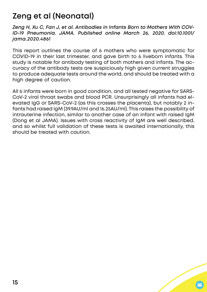#### **Zeng et al (Neonatal)**

*Zeng H, Xu C, Fan J, et al. Antibodies in Infants Born to Mothers With COV-ID-19 Pneumonia. JAMA. Published online March 26, 2020. doi:10.1001/ jama.2020.4861*

This report outlines the course of 6 mothers who were symptomatic for COVID-19 in their last trimester, and gave birth to 6 liveborn infants. This study is notable for antibody testing of both mothers and infants. The accuracy of the antibody tests are suspiciously high given current struggles to produce adequate tests around the world, and should be treated with a high degree of caution.

All 6 infants were born in good condition, and all tested negative for SARS-CoV-2 viral throat swabs and blood PCR. Unsurprisingly all infants had elevated IgG or SARS-CoV-2 (as this crosses the placenta), but notably 2 infants had raised IgM (39.9AU/ml and 16.25AU/ml). This raises the possibility of intrauterine infection, similar to another case of an infant with raised IgM (Dong et al JAMA). Issues with cross reactivity of IgM are well described, and so whilst full validation of these tests is awaited internationally, this should be treated with caution.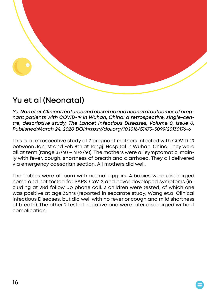#### **Yu et al (Neonatal)**

*Yu, Nan et al. Clinical features and obstetric and neonatal outcomes of pregnant patients with COVID-19 in Wuhan, China: a retrospective, single-centre, descriptive study, The Lancet Infectious Diseases, Volume 0, Issue 0, Published:March 24, 2020 DOI:https://doi.org/10.1016/S1473-3099(20)30176-6*

This is a retrospective study of 7 pregnant mothers infected with COVID-19 between Jan 1st and Feb 8th at Tongji Hospital in Wuhan, China. They were all at term (range 37/40 – 41+2/40). The mothers were all symptomatic, mainly with fever, cough, shortness of breath and diarrhoea. They all delivered via emergency caesarian section. All mothers did well.

The babies were all born with normal apgars. 4 babies were discharged home and not tested for SARS-CoV-2 and never developed symptoms (including at 28d follow up phone call. 3 children were tested, of which one was positive at age 36hrs (reported in separate study, Wang et.al Clinical infectious Diseases, but did well with no fever or cough and mild shortness of breath). The other 2 tested negative and were later discharged without complication.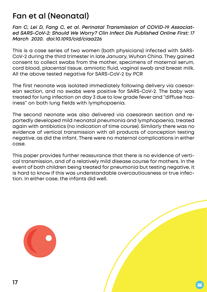#### **Fan et al (Neonatal)**

*Fan C, Lei D, Fang C, et al. Perinatal Transmission of COVID-19 Associated SARS-CoV-2: Should We Worry? Clin Infect Dis Published Online First: 17 March 2020. doi:10.1093/cid/ciaa226*

This is a case series of two women (both physicians) infected with SARS-CoV-2 during the third trimester in late January, Wuhan China. They gained consent to collect swabs from the mother, specimens of maternal serum, cord blood, placental tissue, amniotic fluid, vaginal swab and breast milk. All the above tested negative for SARS-CoV-2 by PCR

The first neonate was isolated immediately following delivery via caesarean section, and no swabs were positive for SARS-CoV-2. The baby was treated for lung infection on day 3 due to low grade fever and "diffuse haziness" on both lung fields with lymphopaenia.

The second neonate was also delivered via caesarean section and reportedly developed mild neonatal pneumonia and lymphopaenia, treated again with antibiotics (no indication of time course). Similarly there was no evidence of vertical transmission with all products of conception testing negative, as did the infant. There were no maternal complications in either case.

This paper provides further reassurance that there is no evidence of vertical transmission, and of a relatively mild disease course for mothers. In the event of both children being treated for pneumonia but testing negative, it is hard to know if this was understandable overcautiousness or true infection. In either case, the infants did well.

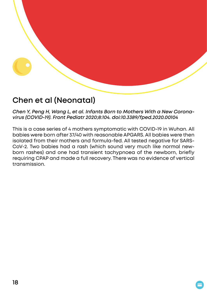#### **Chen et al (Neonatal)**

*Chen Y, Peng H, Wang L, et al. Infants Born to Mothers With a New Coronavirus (COVID-19). Front Pediatr 2020;8:104. doi:10.3389/fped.2020.00104*

This is a case series of 4 mothers symptomatic with COVID-19 in Wuhan. All babies were born after 37/40 with reasonable APGARS. All babies were then isolated from their mothers and formula-fed. All tested negative for SARS-CoV-2. Two babies had a rash (which sound very much like normal newborn rashes) and one had transient tachypnoea of the newborn, briefly requiring CPAP and made a full recovery. There was no evidence of vertical transmission.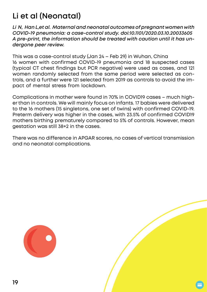#### **Li et al (Neonatal)**

*Li N, Han L,et al. Maternal and neonatal outcomes of pregnant women with COVID-19 pneumonia: a case-control study. doi:10.1101/2020.03.10.20033605 A pre-print, the information should be treated with caution until it has undergone peer review.*

This was a case-control study (Jan 24 – Feb 29) in Wuhan, China 16 women with confirmed COVID-19 pneumonia and 18 suspected cases (typical CT chest findings but PCR negative) were used as cases, and 121 women randomly selected from the same period were selected as controls, and a further were 121 selected from 2019 as controls to avoid the impact of mental stress from lockdown.

Complications in mother were found in 70% in COVID19 cases – much higher than in controls. We will mainly focus on infants. 17 babies were delivered to the 16 mothers (15 singletons, one set of twins) with confirmed COVID-19. Preterm delivery was higher in the cases, with 23.5% of confirmed COVID19 mothers birthing prematurely compared to 5% of controls. However, mean gestation was still 38+2 in the cases.

There was no difference in APGAR scores, no cases of vertical transmission and no neonatal complications.



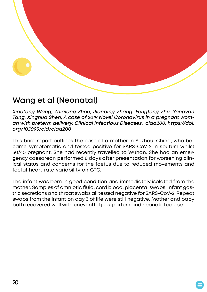#### **Wang et al (Neonatal)**

*Xiaotong Wang, Zhiqiang Zhou, Jianping Zhang, Fengfeng Zhu, Yongyan Tang, Xinghua Shen, A case of 2019 Novel Coronavirus in a pregnant woman with preterm delivery, Clinical Infectious Diseases, ciaa200, https://doi. org/10.1093/cid/ciaa200*

This brief report outlines the case of a mother in Suzhou, China, who became symptomatic and tested positive for SARS-CoV-2 in sputum whilst 30/40 pregnant. She had recently travelled to Wuhan. She had an emergency caesarean performed 6 days after presentation for worsening clinical status and concerns for the foetus due to reduced movements and foetal heart rate variability on CTG.

The infant was born in good condition and immediately isolated from the mother. Samples of amniotic fluid, cord blood, placental swabs, infant gastric secretions and throat swabs all tested negative for SARS-CoV-2. Repeat swabs from the infant on day 3 of life were still negative. Mother and baby both recovered well with uneventful postpartum and neonatal course.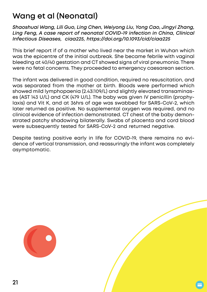#### **Wang et al (Neonatal)**

*Shaoshuai Wang, Lili Guo, Ling Chen, Weiyong Liu, Yong Cao, Jingyi Zhang, Ling Feng, A case report of neonatal COVID-19 infection in China, Clinical Infectious Diseases, ciaa225, https://doi.org/10.1093/cid/ciaa225*

This brief report if of a mother who lived near the market in Wuhan which was the epicentre of the initial outbreak. She became febrile with vaginal bleeding at 40/40 gestation and CT showed signs of viral pneumonia. There were no fetal concerns. They proceeded to emergency caesarean section.

The infant was delivered in good condition, required no resuscitation, and was separated from the mother at birth. Bloods were performed which showed mild lymphopaenia (2.431109/L) and slightly elevated transaminases (AST 143 U/L) and CK (479 U/L). The baby was given IV penicillin (prophylaxis) and Vit K, and at 36hrs of age was swabbed for SARS-CoV-2, which later returned as positive. No supplemental oxygen was required, and no clinical evidence of infection demonstrated. CT chest of the baby demonstrated patchy shadowing bilaterally. Swabs of placenta and cord blood were subsequently tested for SARS-CoV-2 and returned negative.

Despite testing positive early in life for COVID-19, there remains no evidence of vertical transmission, and reassuringly the infant was completely asymptomatic.

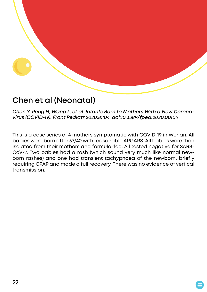#### **Chen et al (Neonatal)**

*Chen Y, Peng H, Wang L, et al. Infants Born to Mothers With a New Coronavirus (COVID-19). Front Pediatr 2020;8:104. doi:10.3389/fped.2020.00104*

This is a case series of 4 mothers symptomatic with COVID-19 in Wuhan. All babies were born after 37/40 with reasonable APGARS. All babies were then isolated from their mothers and formula-fed. All tested negative for SARS-CoV-2. Two babies had a rash (which sound very much like normal newborn rashes) and one had transient tachypnoea of the newborn, briefly requiring CPAP and made a full recovery. There was no evidence of vertical transmission.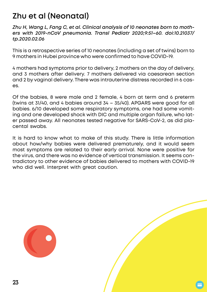#### **Zhu et al (Neonatal)**

*Zhu H, Wang L, Fang C, et al. Clinical analysis of 10 neonates born to mothers with 2019-nCoV pneumonia. Transl Pediatr 2020;9:51–60. doi:10.21037/ tp.2020.02.06*

This is a retrospective series of 10 neonates (including a set of twins) born to 9 mothers in Hubei province who were confirmed to have COVID-19.

4 mothers had symptoms prior to delivery, 2 mothers on the day of delivery, and 3 mothers after delivery. 7 mothers delivered via caesarean section and 2 by vaginal delivery. There was intrauterine distress recorded in 6 cases.

Of the babies, 8 were male and 2 female, 4 born at term and 6 preterm (twins at 31/40, and 4 babies around 34 – 35/40). APGARS were good for all babies. 6/10 developed some respiratory symptoms, one had some vomiting and one developed shock with DIC and multiple organ failure, who later passed away. All neonates tested negative for SARS-CoV-2, as did placental swabs.

It is hard to know what to make of this study. There is little information about how/why babies were delivered prematurely, and it would seem most symptoms are related to their early arrival. None were positive for the virus, and there was no evidence of vertical transmission. It seems contradictory to other evidence of babies delivered to mothers with COVID-19 who did well. Interpret with great caution.

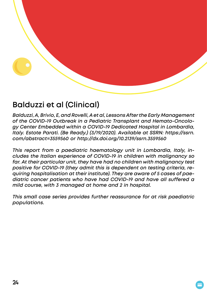#### **Balduzzi et al (Clinical)**

*Balduzzi, A, Brivio, E, and Rovelli, A et al, Lessons After the Early Management of the COVID-19 Outbreak in a Pediatric Transplant and Hemato-Oncology Center Embedded within a COVID-19 Dedicated Hospital in Lombardia, Italy. Estote Parati. (Be Ready.) (3/19/2020). Available at SSRN: https://ssrn. com/abstract=3559560 or http://dx.doi.org/10.2139/ssrn.3559560*

*This report from a paediatric haematology unit in Lombardia, Italy, includes the Italian experience of COVID-19 in children with malignancy so far. At their particular unit, they have had no children with malignancy test positive for COVID-19 (they admit this is dependent on testing criteria, requiring hospitalisation at their institute). They are aware of 5 cases of paediatric cancer patients who have had COVID-19 and have all suffered a mild course, with 3 managed at home and 2 in hospital.*

*This small case series provides further reassurance for at risk paediatric populations.*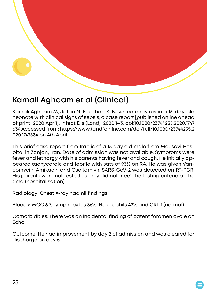#### **Kamali Aghdam et al (Clinical)**

Kamali Aghdam M, Jafari N, Eftekhari K. Novel coronavirus in a 15-day-old neonate with clinical signs of sepsis, a case report [published online ahead of print, 2020 Apr 1]. Infect Dis (Lond). 2020;1–3. doi:10.1080/23744235.2020.1747 634 Accessed from: https://www.tandfonline.com/doi/full/10.1080/23744235.2 020.1747634 on 4th April

This brief case report from Iran is of a 15 day old male from Mousavi Hospital in Zanjan, Iran. Date of admission was not available. Symptoms were fever and lethargy with his parents having fever and cough. He initially appeared tachycardic and febrile with sats of 93% on RA. He was given Vancomycin, Amikacin and Oseltamivir. SARS-CoV-2 was detected on RT-PCR. His parents were not tested as they did not meet the testing criteria at the time (hospitalisation).

Radiology: Chest X-ray had nil findings

Bloods: WCC 6.7, Lymphocytes 36%, Neutrophils 42% and CRP 1 (normal).

Comorbidities: There was an incidental finding of patent foramen ovale on Echo.

Outcome: He had improvement by day 2 of admission and was cleared for discharge on day 6.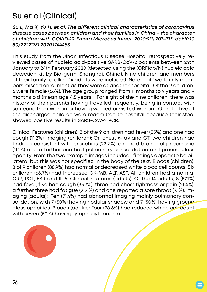#### **Su et al (Clinical)**

*Su L, Ma X, Yu H, et al. The different clinical characteristics of coronavirus disease cases between children and their families in China – the character of children with COVID-19. Emerg Microbes Infect. 2020;9(1):707–713. doi:10.10 80/22221751.2020.1744483*

This study from the Jinan Infectious Disease Hospital retrospectively reviewed cases of nucleic acid-positive SARS-CoV-2 patients between 24th January to 24th February 2020 (detected using the (ORF1ab/N) nucleic acid detection kit by Bio-germ, Shanghai, China). Nine children and members of their family totalling 14 adults were included. Note that two family members missed enrollment as they were at another hospital. Of the 9 children, 6 were female (66%). The age group ranged from 11 months to 9 years and 9 months old (mean age 4.5 years). For eight of the nine children, there was history of their parents having travelled frequently, being in contact with someone from Wuhan or having worked or visited Wuhan. Of note, five of the discharged children were readmitted to hospital because their stool showed positive results in SARS-CoV-2 PCR.

Clinical Features (children): 3 of the 9 children had fever (33%) and one had cough (11.2%). Imaging (children): On chest x-ray and CT, two children had findings consistent with bronchitis (22.2%), one had bronchial pneumonia (11.1%) and a further one had pulmonary consolidation and ground glass opacity. From the two example images included,, findings appear to be bilateral but this was not specified in the body of the text. Bloods (children): 8 of 9 children (88.9%) had normal or decreased white blood cell counts. Six children (66.7%) had increased CK-MB. ALT, AST. All children had a normal CRP, PCT, ESR and IL-6. Clinical Features (adults): Of the 14 adults, 8 (57.1%) had fever, five had cough (35.7%), three had chest tightness or pain (21.4%), a further three had fatigue (21.4%) and one reported a sore throat (7.1%). Imaging (adults): Ten (71.4%) had abnormal imaging mainly pulmonary consolidation, with 7 (50%) having nodular shadow and 7 (50%) having ground glass opacities. Bloods (adults): Four (28.6%) had reduced whice cell count with seven (50%) having lymphocytopaenia.

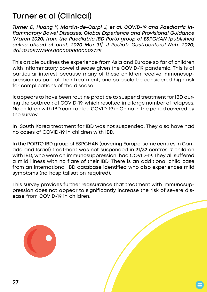#### **Turner et al (Clinical)**

*Turner D, Huang Y, Martín-de-Carpi J, et al. COVID-19 and Paediatric Inflammatory Bowel Diseases: Global Experience and Provisional Guidance (March 2020) from the Paediatric IBD Porto group of ESPGHAN [published online ahead of print, 2020 Mar 31]. J Pediatr Gastroenterol Nutr. 2020; doi:10.1097/MPG.0000000000002729*

This article outlines the experience from Asia and Europe so far of children with inflammatory bowel disease given the COVID-19 pandemic. This is of particular interest because many of these children receive immunosuppression as part of their treatment, and so could be considered high risk for complications of the disease.

It appears to have been routine practice to suspend treatment for IBD during the outbreak of COVID-19, which resulted in a large number of relapses. No children with IBD contracted COVID-19 in China in the period covered by the survey.

In South Korea treatment for IBD was not suspended. They also have had no cases of COVID-19 in children with IBD.

In the PORTO IBD group of ESPGHAN (covering Europe, some centres in Canada and Israel) treatment was not suspended in 31/32 centres. 7 children with IBD, who were on immunosuppression, had COVID-19. They all suffered a mild illness with no flare of their IBD. There is an additional child case from an international IBD database identified who also experiences mild symptoms (no hospitalisation required).

This survey provides further reassurance that treatment with immunosuppression does not appear to significantly increase the risk of severe disease from COVID-19 in children.

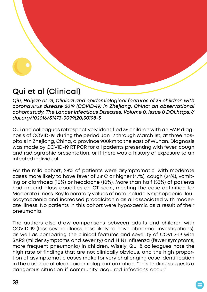#### **Qui et al (Clinical)**

*Qiu, Haiyan et al, Clinical and epidemiological features of 36 children with coronavirus disease 2019 (COVID-19) in Zhejiang, China: an observational cohort study. The Lancet Infectious Diseases, Volume 0, Issue 0 DOI:https:// doi.org/10.1016/S1473-3099(20)30198-5*

Qui and colleagues retrospectively identified 36 children with an EMR diagnosis of COVID-19, during the period Jan 17 through March 1st, at three hospitals in Zhejiang, China, a province 900km to the east of Wuhan. Diagnosis was made by COVID-19 RT PCR for all patients presenting with fever, cough and radiographic presentation, or if there was a history of exposure to an infected individual.

For the mild cohort, 28% of patients were asymptomatic, with moderate cases more likely to have fever of 38°C or higher (47%), cough (24%), vomiting or diarrhoea (10%) or headache (10%). More than half (53%) of patients had ground-glass opacities on CT scan, meeting the case definition for Moderate illness. Key laboratory values of note include lymphopaenia, leukocytopaenia and increased procalcitonin as all associated with moderate illness. No patients in this cohort were hypoxaemic as a result of their pneumonia.

The authors also draw comparisons between adults and children with COVID-19 (less severe illness, less likely to have abnormal investigations), as well as comparing the clinical features and severity of COVID-19 with SARS (milder symptoms and severity) and H1N1 influenza (fewer symptoms, more frequent pneumonia) in children. Wisely, Qui & colleagues note the high rate of findings that are not clinically obvious, and the high proportion of asymptomatic cases make for very challenging case identification in the absence of clear epidemiologic information. "This finding suggests a dangerous situation if community-acquired infections occur."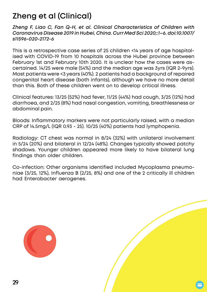#### **Zheng et al (Clinical)**

*Zheng F, Liao C, Fan Q-H, et al. Clinical Characteristics of Children with Coronavirus Disease 2019 in Hubei, China. Curr Med Sci 2020;:1–6. doi:10.1007/ s11596-020-2172-6*

This is a retrospective case series of 25 children <14 years of age hospitalised with COVID-19 from 10 hospitals across the Hubei province between February 1st and February 10th 2020. It is unclear how the cases were ascertained. 14/25 were male (54%) and the median age was 3yrs (IQR 2-9yrs). Most patients were <3 years (40%). 2 patients had a background of repaired congenital heart disease (both infants), although we have no more detail than this. Both of these children went on to develop critical illness.

Clinical features: 13/25 (52%) had fever, 11/25 (44%) had cough, 3/25 (12%) had diarrhoea, and 2/25 (8%) had nasal congestion, vomiting, breathlessness or abdominal pain.

Bloods: Inflammatory markers were not particularly raised, with a median CRP of 14.5mg/L (IQR 0.93 - 25). 10/25 (40%) patients had lymphopenia.

Radiology: CT chest was normal in 8/24 (32%) with unilateral involvement in 5/24 (20%) and bilateral in 12/24 (48%). Changes typically showed patchy shadows. Younger children appeared more likely to have bilateral lung findings than older children.

Co-infection: Other organisms identified included Mycoplasma pneumoniae (3/25, 12%), Influenza B (2/25, 8%) and one of the 2 critically ill children had Enterobacter aerogenes.

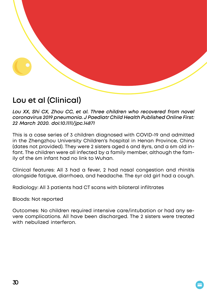#### **Lou et al (Clinical)**

Lou XX, Shi CX, Zhou CC, et al. Three children who recovered from novel *coronavirus 2019 pneumonia. J Paediatr Child Health Published Online First: 22 March 2020. doi:10.1111/jpc.14871*

This is a case series of 3 children diagnosed with COVID-19 and admitted in the Zhengzhou University Children's hospital in Henan Province, China (dates not provided). They were 2 sisters aged 6 and 8yrs, and a 6m old infant. The children were all infected by a family member, although the family of the 6m infant had no link to Wuhan.

Clinical features: All 3 had a fever, 2 had nasal congestion and rhinitis alongside fatigue, diarrhoea, and headache. The 6yr old girl had a cough.

Radiology: All 3 patients had CT scans with bilateral infiltrates

Bloods: Not reported

Outcomes: No children required intensive care/intubation or had any severe complications. All have been discharged. The 2 sisters were treated with nebulized interferon.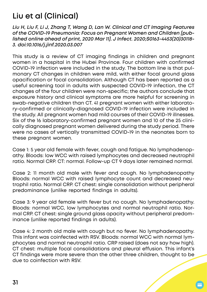#### **Liu et al (Clinical)**

*Liu H, Liu F, Li J, Zhang T, Wang D, Lan W. Clinical and CT Imaging Features of the COVID-19 Pneumonia: Focus on Pregnant Women and Children [published online ahead of print, 2020 Mar 11]. J Infect. 2020;S0163-4453(20)30118- 3. doi:10.1016/j.jinf.2020.03.007*

This study is a review of CT imaging findings in children and pregnant women in a hospital in the Hubei Province. Four children with confirmed COVID-19 infection were included in the study. The bottom line is that pulmonary CT changes in children were mild, with either focal ground glass opacification or focal consolidation. Although CT has been reported as a useful screening tool in adults with suspected COVID-19 infection, the CT changes of the four children were non-specific; the authors conclude that exposure history and clinical symptoms are more helpful for screening in swab-negative children than CT. 41 pregnant women with either laboratory-confirmed or clinically-diagnosed COVID-19 infection were included in the study. All pregnant women had mild courses of their COVID-19 illnesses. Six of the 16 laboratory-confirmed pregnant women and 10 of the 25 clinically diagnosed pregnant women delivered during the study period. There were no cases of vertically transmitted COVID-19 in the neonates born to these pregnant women.

Case 1: 5 year old female with fever, cough and fatigue. No lymphadenopathy. Bloods: low WCC with raised lymphocytes and decreased neutrophil ratio. Normal CRP. CT: normal. Follow-up CT 9 days later remained normal.

Case 2: 11 month old male with fever and cough. No lymphadenopathy Bloods: normal WCC with raised lymphocyte count and decreased neutrophil ratio. Normal CRP. CT chest: single consolidation without peripheral predominance (unlike reported findings in adults).

Case 3: 9 year old female with fever but no cough. No lymphadenopathy. Bloods: normal WCC, low lymphocytes and normal neutrophil ratio. Normal CRP. CT chest: single ground glass opacity without peripheral predominance (unlike reported findings in adults).

Case 4: 2 month old male with cough but no fever. No lymphadenopathy. This infant was coinfected with RSV. Bloods: normal WCC with normal lymphocytes and normal neutrophil ratio. CRP raised (does not say how high). CT chest: multiple focal consolidations and pleural effusion. This infant's CT findings were more severe than the other three children, thought to be due to coinfection with RSV.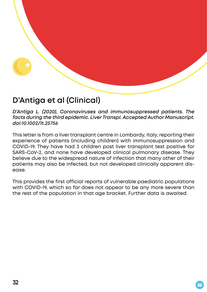#### **D'Antiga et al (Clinical)**

*D'Antiga L. (2020), Coronaviruses and immunosuppressed patients. The facts during the third epidemic. Liver Transpl. Accepted Author Manuscript. doi:10.1002/lt.25756*

This letter is from a liver transplant centre in Lombardy, Italy, reporting their experience of patients (including children) with immunosuppression and COVID-19. They have had 3 children post liver transplant test positive for SARS-CoV-2, and none have developed clinical pulmonary disease. They believe due to the widespread nature of infection that many other of their patients may also be infected, but not developed clinically apparent disease.

This provides the first official reports of vulnerable paediatric populations with COVID-19, which so far does not appear to be any more severe than the rest of the population in that age bracket. Further data is awaited.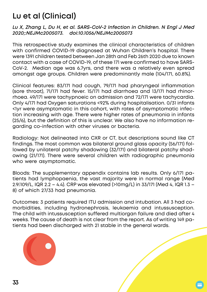#### **Lu et al (Clinical)**

*Lu X, Zhang L, Du H, et al. SARS-CoV-2 Infection in Children. N Engl J Med 2020;:NEJMc2005073. doi:10.1056/NEJMc2005073*

This retrospective study examines the clinical characteristics of children with confirmed COVID-19 diagnosed at Wuhan Children's hospital. There were 1391 children tested between Jan 28th and Feb 26th 2020 due to known contact with a case of COVID-19, of these 171 were confirmed to have SARS-CoV-2. Median age was 6.7yrs, and there was a relatively even spread amongst age groups. Children were predominantly male (104/171, 60.8%).

Clinical features: 83/171 had cough, 79/171 had pharyngeal inflammation (sore throat), 71/171 had fever. 15/171 had diarrhoea and 13/171 had rhinorrhoea. 49/171 were tachypnoeic on admission and 72/171 were tachycardia. Only 4/171 had Oxygen saturations <92% during hospitalisation. 0/31 infants <1yr were asymptomatic in this cohort, with rates of asymptomatic infection increasing with age. There were higher rates of pneumonia in infants (25/6), but the definition of this is unclear. We also have no information regarding co-infection with other viruses or bacteria.

Radiology: Not delineated into CXR or CT, but descriptions sound like CT findings. The most common was bilateral ground glass opacity (56/171) followed by unilateral patchy shadowing (32/171) and bilateral patchy shadowing (21/171). There were several children with radiographic pneumonia who were asymptomatic.

Bloods: The supplementary appendix contains lab results. Only 6/171 patients had lymphopaenia, the vast majority were in normal range (Med 2.9×109/L, IQR 2.2 – 4.4). CRP was elevated (>10mg/L) in 33/171 (Med 4, IQR 1.3 – 8) of which 27/33 had pneumonia.

Outcomes: 3 patients required ITU admission and intubation. All 3 had comorbidities, including hydronephrosis, leukaemia and intussusception. The child with intussusception suffered multiorgan failure and died after 4 weeks. The cause of death is not clear from the report. As of writing 149 patients had been discharged with 21 stable in the general wards.

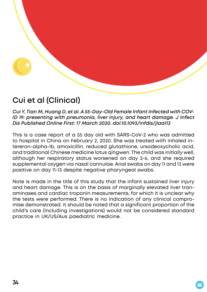#### **Cui et al (Clinical)**

*Cui Y, Tian M, Huang D, et al. A 55-Day-Old Female Infant infected with COV-ID 19: presenting with pneumonia, liver injury, and heart damage. J Infect Dis Published Online First: 17 March 2020. doi:10.1093/infdis/jiaa113*

This is a case report of a 55 day old with SARS-CoV-2 who was admitted to hospital in China on February 2, 2020. She was treated with inhaled intereron-alpha-1b, amoxicillin, reduced glutathione, ursodeoxycholic acid, and traditional Chinese medicine lotus qingwen. The child was initially well, although her respiratory status worsened on day 2-6, and she required supplemental oxygen via nasal cannulae. Anal swabs on day 11 and 13 were positive on day 11-13 despite negative pharyngeal swabs.

Note is made in the title of this study that the infant sustained liver injury and heart damage. This is on the basis of marginally elevated liver tranaminases and cardiac troponin measurements, for which it is unclear why the tests were performed. There is no indication of any clinical compromise demonstrated. It should be noted that a significant proportion of the child's care (including investigations) would not be considered standard practice in UK/US/Aus paediatric medicine.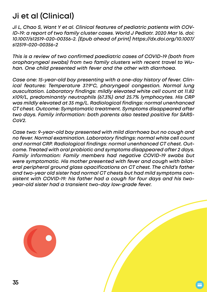### **Ji et al (Clinical)**

*Ji L, Chao S, Want Y et al. Clinical features of pediatric patients with COV-ID-19: a report of two family cluster cases. World J Pediatr. 2020 Mar 16. doi: 10.1007/s12519-020-00356-2. [Epub ahead of print] https://dx.doi.org/10.1007/ s12519-020-00356-2*

*This is a review of two confirmed paediatric cases of COVID-19 (both from oropharyngeal swabs) from two family clusters with recent travel to Wuhan. One child presented with fever and the other with diarrhoea.*

*Case one: 15-year-old boy presenting with a one-day history of fever. Clinical features: Temperature 37.9°C, pharyngeal congestion. Normal lung auscultation. Laboratory findings: mildly elevated white cell count at 11.82 x109/L, predominantly neutrophils (67.3%) and 25.7% lymphocytes. His CRP was mildly elevated at 35 mg/L. Radiological findings: normal unenhanced CT chest. Outcome: Symptomatic treatment. Symptoms disappeared after two days. Family information: both parents also tested positive for SARS-CoV2.*

*Case two: 9-year-old boy presented with mild diarrhoea but no cough and no fever. Normal examination. Laboratory findings: normal white cell count and normal CRP. Radiological findings: normal unenhanced CT chest. Outcome. Treated with oral probiotic and symptoms disappeared after 2 days. Family information: Family members had negative COVID-19 swabs but were symptomatic. His mother presented with fever and cough with bilateral peripheral ground glass opacifications on CT chest. The child's father and two-year old sister had normal CT chests but had mild symptoms consistent with COVID-19: his father had a cough for four days and his twoyear-old sister had a transient two-day low-grade fever.*

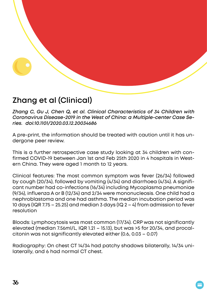#### **Zhang et al (Clinical)**

*Zhang C, Gu J, Chen Q, et al. Clinical Characteristics of 34 Children with Coronavirus Disease-2019 in the West of China: a Multiple-center Case Series. doi:10.1101/2020.03.12.20034686*

A pre-print, the information should be treated with caution until it has undergone peer review.

This is a further retrospective case study looking at 34 children with confirmed COVID-19 between Jan 1st and Feb 25th 2020 in 4 hospitals in Western China. They were aged 1 month to 12 years.

Clinical features: The most common symptom was fever (26/34) followed by cough (20/34), followed by vomiting (4/34) and diarrhoea (4/34). A significant number had co-infections (16/34) including Mycoplasma pneumoniae (9/34), influenza A or B (12/34) and 2/34 were mononucleosis. One child had a nephroblastoma and one had asthma. The median incubation period was 10 days (IQR 7.75 – 25.25) and median 3 days (IQ 2 – 4) from admission to fever resolution

Bloods: Lymphocytosis was most common (17/34). CRP was not significantly elevated (median 7.56ml/L, IQR 1.21 – 15.13), but was >5 for 20/34, and procalcitonin was not significantly elevated either (0.6, 0.03 – 0.07)

Radiography: On chest CT 14/34 had patchy shadows bilaterally, 14/34 unilaterally, and 6 had normal CT chest.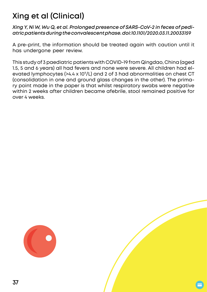### **Xing et al (Clinical)**

*Xing Y, Ni W, Wu Q, et al. Prolonged presence of SARS-CoV-2 in feces of pediatric patients during the convalescent phase. doi:10.1101/2020.03.11.20033159*

A pre-print, the information should be treated again with caution until it has undergone peer review.

This study of 3 paediatric patients with COVID-19 from Qingdao, China (aged 1.5, 5 and 6 years) all had fevers and none were severe. All children had elevated lymphocytes (>4.4 x 10°/L) and 2 of 3 had abnormalities on chest CT (consolidation in one and ground glass changes in the other). The primary point made in the paper is that whilst respiratory swabs were negative within 2 weeks after children became afebrile, stool remained positive for over 4 weeks.





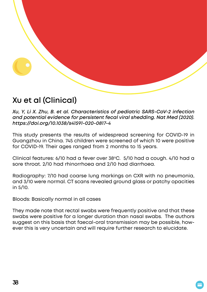#### **Xu et al (Clinical)**

*Xu, Y, Li X. Zhu, B. et al. Characteristics of pediatric SARS-CoV-2 infection and potential evidence for persistent fecal viral shedding. Nat Med (2020). https://doi.org/10.1038/s41591-020-0817-4*

This study presents the results of widespread screening for COVID-19 in Guangzhou in China. 745 children were screened of which 10 were positive for COVID-19. Their ages ranged from 2 months to 15 years.

Clinical features: 6/10 had a fever over 38°C. 5/10 had a cough. 4/10 had a sore throat. 2/10 had rhinorrhoea and 2/10 had diarrhoea.

Radiography: 7/10 had coarse lung markings on CXR with no pneumonia, and 3/10 were normal. CT scans revealed ground glass or patchy opacities in 5/10.

Bloods: Basically normal in all cases

They made note that rectal swabs were frequently positive and that these swabs were positive for a longer duration than nasal swabs. The authors suggest on this basis that faecal-oral transmission may be possible, however this is very uncertain and will require further research to elucidate.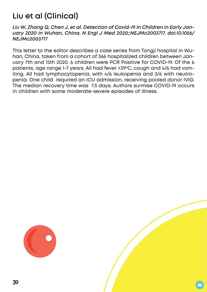#### **Liu et al (Clinical)**

*Liu W, Zhang Q, Chen J, et al. Detection of Covid-19 in Children in Early January 2020 in Wuhan, China. N Engl J Med 2020;:NEJMc2003717. doi:10.1056/ NEJMc2003717*

This letter to the editor describes a case series from Tongji hospital in Wuhan, China, taken from a cohort of 366 hospitalized children between January 7th and 15th 2020. 6 children were PCR Positive for COVID-19. Of the 6 patients, age range 1-7 years. All had fever >39°C, cough and 4/6 had vomiting. All had lymphocytopenia, with 4/6 leukopenia and 3/6 with neutropenia. One child required an ICU admission, receiving pooled donor IVIG. The median recovery time was 7.5 days. Authors surmise COVID-19 occurs in children with some moderate-severe episodes of illness.



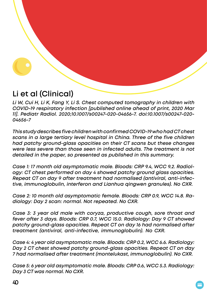#### **Li et al (Clinical)**

*Li W, Cui H, Li K, Fang Y, Li S. Chest computed tomography in children with COVID-19 respiratory infection [published online ahead of print, 2020 Mar 11]. Pediatr Radiol. 2020;10.1007/s00247-020-04656-7. doi:10.1007/s00247-020- 04656-7*

*This study describes five children with confirmed COVID-19 who had CT chest scans in a large tertiary level hospital in China. Three of the five children had patchy ground-glass opacities on their CT scans but these changes were less severe than those seen in infected adults. The treatment is not detailed in the paper, so presented as published in this summary.*

*Case 1: 17 month old asymptomatic male. Bloods: CRP 9.4, WCC 9.2. Radiology: CT chest performed on day 4 showed patchy ground glass opacities. Repeat CT on day 9 after treatment had normalised (antiviral, anti-infective, immunoglobulin, interferon and Lianhua qingwen granules). No CXR.*

*Case 2: 10 month old asymptomatic female. Bloods: CRP 0.9, WCC 14.8. Radiology: Day 2 scan: normal. Not repeated. No CXR.*

*Case 3: 3 year old male with coryza, productive cough, sore throat and fever after 3 days. Bloods: CRP 0.7, WCC 15.0. Radiology: Day 9 CT showed patchy ground-glass opacities. Repeat CT on day 16 had normalised after treatment (antiviral, anti-infective, immunoglobulin). No CXR.* 

*Case 4: 4 year old asymptomatic male. Bloods: CRP 0.2, WCC 6.6. Radiology: Day 2 CT chest showed patchy ground-glass opacities. Repeat CT on day 7 had normalised after treatment (montelukast, immunoglobulin). No CXR.*

*Case 5: 6 year old asymptomatic male. Bloods: CRP 0.6, WCC 5.3. Radiology: Day 3 CT was normal. No CXR.*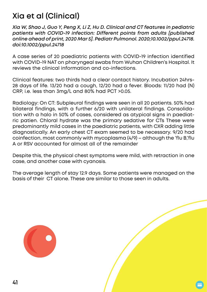#### **Xia et al (Clinical)**

*Xia W, Shao J, Guo Y, Peng X, Li Z, Hu D. Clinical and CT features in pediatric patients with COVID-19 infection: Different points from adults [published online ahead of print, 2020 Mar 5]. Pediatr Pulmonol. 2020;10.1002/ppul.24718. doi:10.1002/ppul.24718*

A case series of 20 paediatric patients with COVID-19 infection identified with COVID-19 NAT on pharyngeal swabs from Wuhan Children's Hospital. It reviews the clinical information and co-infections.

Clinical features: two thirds had a clear contact history. Incubation 24hrs-28 days of life. 13/20 had a cough, 12/20 had a fever. Bloods: 11/20 had (N) CRP, i.e. less than 3mg/L and 80% had PCT >0.05.

Radiology: On CT: Subpleural findings were seen in all 20 patients. 50% had bilateral findings, with a further 6/20 with unilateral findings. Consolidation with a halo in 50% of cases, considered as atypical signs in paediatric patien. Chloral hydrate was the primary sedative for CTs These were predominantly mild cases in the paediatric patients, with CXR adding little diagnostically. An early chest CT exam seemed to be necessary. 9/20 had coinfection, most commonly with mycoplasma (4/9) – although the 'flu B,'flu A or RSV accounted for almost all of the remainder

Despite this, the physical chest symptoms were mild, with retraction in one case, and another case with cyanosis.

The average length of stay 12.9 days. Some patients were managed on the basis of their CT alone. These are similar to those seen in adults.

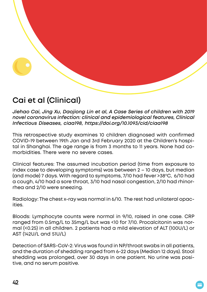#### **Cai et al (Clinical)**

*Jiehao Cai, Jing Xu, Daojiong Lin et al, A Case Series of children with 2019 novel coronavirus infection: clinical and epidemiological features, Clinical Infectious Diseases, ciaa198, https://doi.org/10.1093/cid/ciaa198*

This retrospective study examines 10 children diagnosed with confirmed COVID-19 between 19th Jan and 3rd February 2020 at the Children's hospital in Shanghai. The age range is from 3 months to 11 years. None had comorbidities. There were no severe cases.

Clinical features: The assumed incubation period (time from exposure to index case to developing symptoms) was between 2 – 10 days, but median (and mode) 7 days. With regard to symptoms,  $7/10$  had fever  $>38^{\circ}$ C, 6/10 had a cough, 4/10 had a sore throat, 3/10 had nasal congestion, 2/10 had rhinorrhea and 2/10 were sneezing.

Radiology: The chest x-ray was normal in 6/10. The rest had unilateral opacities.

Bloods: Lymphocyte counts were normal in 9/10, raised in one case. CRP ranged from 0.5mg/L to 35mg/L but was <10 for 7/10. Procalcitonin was normal (<0.25) in all children. 2 patients had a mild elevation of ALT (100U/L) or AST (142U/L and 51U/L)

Detection of SARS-CoV-2: Virus was found in NP/throat swabs in all patients, and the duration of shedding ranged from 6-22 days (Median 12 days). Stool shedding was prolonged, over 30 days in one patient. No urine was positive, and no serum positive.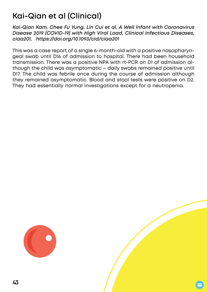#### **Kai-Qian et al (Clinical)**

*Kai-Qian Kam, Chee Fu Yung, Lin Cui et al, A Well Infant with Coronavirus Disease 2019 (COVID-19) with High Viral Load, Clinical Infectious Diseases, ciaa201, https://doi.org/10.1093/cid/ciaa201*

This was a case report of a single 6-month-old with a positive nasopharyngeal swab until D16 of admission to hospital. There had been household transmission. There was a positive NPA with rt-PCR on D1 of admission although the child was asymptomatic – daily swabs remained positive until D17. The child was febrile once during the course of admission although they remained asymptomatic. Blood and stool tests were positive on D2. They had essentially normal investigations except for a neutropenia.



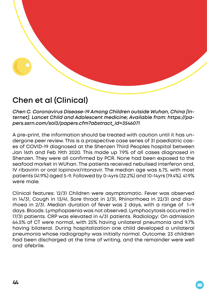#### **Chen et al (Clinical)**

*Chen C. Coronavirus Disease-19 Among Children outside Wuhan, China [Internet]. Lancet Child and Adolescent medicine; Available from: https://papers.ssrn.com/sol3/papers.cfm?abstract\_id=3546071*

A pre-print, the information should be treated with caution until it has undergone peer review. This is a prospective case series of 31 paediatric cases of COVID-19 diagnosed at the Shenzen Third Peoples hospital between Jan 16th and Feb 19th 2020. This made up 7.9% of all cases diagnosed in Shenzen. They were all confirmed by PCR. None had been exposed to the seafood market in WUhan. The patients received nebulised interferon and, IV ribavirin or oral lopinovir/ritonavir. The median age was 6.75, with most patients (41.9%) aged 5-9. Followed by 0-4yrs (32.2%) and 10-14yrs (19.4%). 41.9% were male.

Clinical features: 12/31 Children were asymptomatic. Fever was observed in 14/31, Cough in 13/41, Sore throat in 2/31, Rhinorrhoea in 22/31 and diarrhoea in 2/31. Median duration of fever was 2 days, with a range of 1–9 days. Bloods: Lymphopaenia was not observed. Lymphocytosis occurred in 17/31 patients. CRP was elevated in 4/31 patients. Radiology: On admission 64.5% of CT were normal, with 25% having unilateral pneumonia and 9.7% having bilateral. During hospitalization one child developed a unilateral pneumonia whose radiography was initially normal. Outcome: 23 children had been discharged at the time of writing, and the remainder were well and afebrile.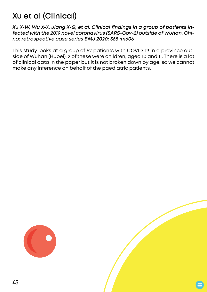#### **Xu et al (Clinical)**

*Xu X-W, Wu X-X, Jiang X-G, et al. Clinical findings in a group of patients infected with the 2019 novel coronavirus (SARS-Cov-2) outside of Wuhan, China: retrospective case series BMJ 2020; 368 :m606*

This study looks at a group of 62 patients with COVID-19 in a province outside of Wuhan (Hubei). 2 of these were children, aged 10 and 11. There is a lot of clinical data in the paper but it is not broken down by age, so we cannot make any inference on behalf of the paediatric patients.



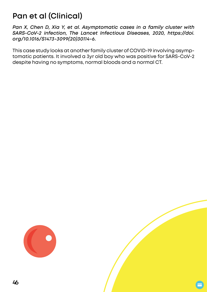#### **Pan et al (Clinical)**

Pan X, Chen D, Xia Y, et al. Asymptomatic cases in a family cluster with *SARS-CoV-2 infection, The Lancet Infectious Diseases, 2020, https://doi. org/10.1016/S1473-3099(20)30114-6.*

This case study looks at another family cluster of COVID-19 involving asymptomatic patients. It involved a 3yr old boy who was positive for SARS-CoV-2 despite having no symptoms, normal bloods and a normal CT.



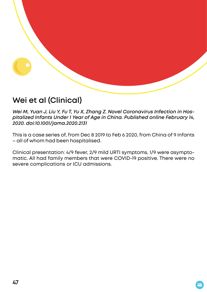#### **Wei et al (Clinical)**

*Wei M, Yuan J, Liu Y, Fu T, Yu X, Zhang Z. Novel Coronavirus Infection in Hospitalized Infants Under 1 Year of Age in China. Published online February 14, 2020. doi:10.1001/jama.2020.2131*

This is a case series of, from Dec 8 2019 to Feb 6 2020, from China of 9 infants – all of whom had been hospitalised.

Clinical presentation: 4/9 fever, 2/9 mild URTI symptoms, 1/9 were asymptomatic. All had family members that were COVID-19 positive. There were no severe complications or ICU admissions.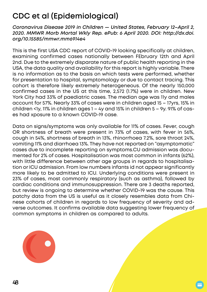#### **CDC et al (Epidemiological)**

*Coronavirus Disease 2019 in Children — United States, February 12–April 2, 2020. MMWR Morb Mortal Wkly Rep. ePub: 6 April 2020. DOI: http://dx.doi. org/10.15585/mmwr.mm6914e4*

This is the first USA CDC report of COVID-19 looking specifically at children, examining confirmed cases nationally between FEbruary 12th and April 2nd. Due to the extremely disparate nature of public health reporting in the USA, the data quality and availability for this report is highly variable. There is no information as to the basis on which tests were performed, whether for presentation to hospital, symptomology or due to contact tracing. This cohort is therefore likely extremely heterogeneous. Of the nearly 150,000 confirmed cases in the US at this time, 2,572 (1.7%) were in children. New York City had 33% of paediatric cases. The median age was 11y and males account for 57%. Nearly 33% of cases were in children aged 15 – 17yrs, 15% in children <1y, 11% in children ages 1 – 4y and 15% in children 5 – 9y. 91% of cases had xposure to a known COVID-19 case.

Data on signs/symptoms was only available for 11% of cases. Fever, cough OR shortness of breath were present in 73% of cases, with fever in 56%, cough in 54%, shortness of breath in 13%, rhinorrhoea 7.2%, sore throat 24%, vomiting 11% and diarrhoea 13%. They have not reported on "asymptomatic" cases due to incomplete reporting on symptoms.CU admission was documented for 2% of cases. Hospitalisation was most common in infants (62%), with little difference between other age groups in regards to hospitalisation or ICU admission. From low numbers infants id not appear significantly more likely to be admitted to ICU. Underlying conditions were present in 23% of cases, most commonly respiratory (such as asthma), followed by cardiac conditions and immunosuppression. There are 3 deaths reported, but review is ongoing to determine whether COVID-19 was the cause. This patchy data from the US is useful as it closely resembles data from Chinese cohorts of children in regards to low frequency of severity and adverse outcomes. It confirms available data suggesting lower frequency of common symptoms in children as compared to adults.

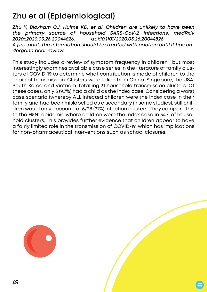#### **Zhu et al (Epidemiological)**

*Zhu Y, Bloxham CJ, Hulme KD, et al. Children are unlikely to have been the primary source of household SARS-CoV-2 infections. medRxiv 2020;:2020.03.26.20044826. doi:10.1101/2020.03.26.20044826 A pre-print, the information should be treated with caution until it has undergone peer review.*

This study includes a review of symptom frequency in children , but most interestingly examines available case series in the literature of family clusters of COVID-19 to determine what contribution is made of children to the chain of transmission. Clusters were taken from China, Singapore, the USA, South Korea and Vietnam, totalling 31 household transmission clusters. Of these cases, only 3 (9.7%) had a child as the index case. Considering a worst case scenario (whereby ALL infected children were the index case in their family and had been mislabelled as a secondary in some studies), still children would only account for 6/28 (21%) infection clusters. They compare this to the H5N1 epidemic where children were the index case in 54% of household clusters. This provides further evidence that children appear to have a fairly limited role in the transmission of COVID-19, which has implications for non-pharmaceutical interventions such as school closures.

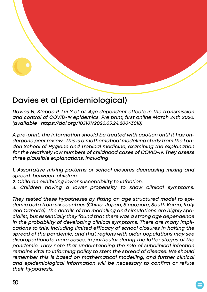#### **Davies et al (Epidemiological)**

*Davies N, Klepac P, Lui Y et al. Age dependent effects in the transmission and control of COVID-19 epidemics. Pre print, first online March 24th 2020. (available https://doi.org/10.1101/2020.03.24.20043018)*

*A pre-print, the information should be treated with caution until it has undergone peer review. This is a mathematical modelling study from the London School of Hygiene and Tropical medicine, examining the explanation for the relatively low numbers of childhood cases of COVID-19. They assess three plausible explanations, including*

*1. Assortative mixing patterns or school closures decreasing mixing and spread between children.* 

*2. Children exhibiting lower susceptibility to infection.*

*3. Children having a lower propensity to show clinical symptoms.*

*They tested these hypotheses by fitting an age structured model to epidemic data from six countries (China, Japan, Singapore, South Korea, Italy and Canada). The details of the modelling and simulations are highly specialist, but essentially they found that there was a strong age dependence in the probability of developing clinical symptoms. There are many implications to this, including limited efficacy of school closures in halting the spread of the pandemic, and that regions with older populations may see disproportionate more cases, in particular during the latter stages of the pandemic. They note that understanding the role of subclinical infection remains vital to informing policy to stem the spread of disease. We should remember this is based on mathematical modelling, and further clinical and epidemiological information will be necessary to confirm or refute their hypothesis.*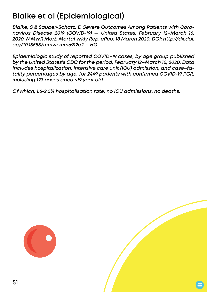#### **Bialke et al (Epidemiological)**

*Bialke, S & Sauber-Schatz, E. Severe Outcomes Among Patients with Coronavirus Disease 2019 (COVID-19) — United States, February 12–March 16, 2020. MMWR Morb Mortal Wkly Rep. ePub: 18 March 2020. DOI: http://dx.doi. org/10.15585/mmwr.mm6912e2 - HG*

*Epidemiologic study of reported COVID–19 cases, by age group published by the United States's CDC for the period, February 12–March 16, 2020. Data includes hospitalization, intensive care unit (ICU) admission, and case–fatality percentages by age, for 2449 patients with confirmed COVID-19 PCR, including 123 cases aged <19 year old.*

*Of which, 1.6-2.5% hospitalisation rate, no ICU admissions, no deaths.*



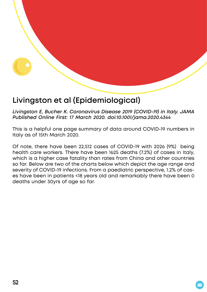#### **Livingston et al (Epidemiological)**

*Livingston E, Bucher K. Coronavirus Disease 2019 (COVID-19) in Italy. JAMA Published Online First: 17 March 2020. doi:10.1001/jama.2020.4344*

This is a helpful one page summary of data around COVID-19 numbers in Italy as of 15th March 2020.

Of note, there have been 22,512 cases of COVID-19 with 2026 (9%) being health care workers. There have been 1625 deaths (7.2%) of cases in Italy, which is a higher case fatality than rates from China and other countries so far. Below are two of the charts below which depict the age range and severity of COVID-19 infections. From a paediatric perspective, 1.2% of cases have been in patients <18 years old and remarkably there have been 0 deaths under 30yrs of age so far.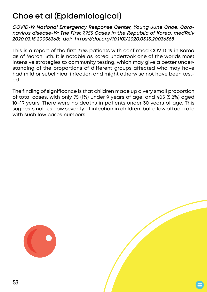#### **Choe et al (Epidemiological)**

*COVID-19 National Emergency Response Center, Young June Choe. Coronavirus disease-19: The First 7,755 Cases in the Republic of Korea. medRxiv 2020.03.15.20036368; doi: https://doi.org/10.1101/2020.03.15.20036368*

This is a report of the first 7755 patients with confirmed COVID-19 in Korea as of March 13th. It is notable as Korea undertook one of the worlds most intensive strategies to community testing, which may give a better understanding of the proportions of different groups affected who may have had mild or subclinical infection and might otherwise not have been tested.

The finding of significance is that children made up a very small proportion of total cases, with only 75 (1%) under 9 years of age, and 405 (5.2%) aged 10–19 years. There were no deaths in patients under 30 years of age. This suggests not just low severity of infection in children, but a low attack rate with such low cases numbers.

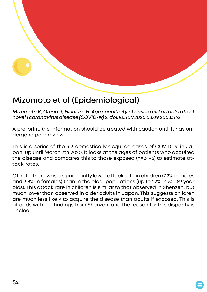#### **Mizumoto et al (Epidemiological)**

*Mizumoto K, Omori R, Nishiura H. Age specificity of cases and attack rate of novel 1 coronavirus disease (COVID-19) 2. doi:10.1101/2020.03.09.20033142*

A pre-print, the information should be treated with caution until it has undergone peer review.

This is a series of the 313 domestically acquired cases of COVID-19, in Japan, up until March 7th 2020. It looks at the ages of patients who acquired the disease and compares this to those exposed (n=2496) to estimate attack rates.

Of note, there was a significantly lower attack rate in children (7.2% in males and 3.8% in females) than in the older populations (up to 22% in 50–59 year olds). This attack rate in children is similar to that observed in Shenzen, but much lower than observed in older adults in Japan. This suggests children are much less likely to acquire the disease than adults if exposed. This is at odds with the findings from Shenzen, and the reason for this disparity is unclear.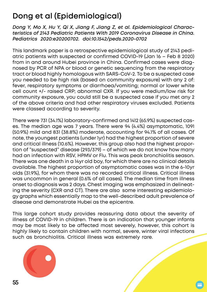#### **Dong et al (Epidemiological)**

*Dong Y, Mo X, Hu Y, Qi X, Jiang F, Jiang Z, et al. Epidemiological Characteristics of 2143 Pediatric Patients With 2019 Coronavirus Disease in China. Pediatrics 2020:e20200702. doi:10.1542/peds.2020-0702*

This landmark paper is a retrospective epidemiological study of 2143 pediatric patients with suspected or confirmed COVID-19 (Jan 16 – Feb 8 2020) from in and around Hubei province in China. Confirmed cases were diagnosed by PCR of NPA or blood or genetic sequencing from the respiratory tract or blood highly homologous with SARS-CoV-2. To be a suspected case you needed to be high risk (based on community exposure) with any 2 of: fever, respiratory symptoms or diarrhoea/vomiting; normal or lower white cell count +/- raised CRP; abnormal CXR. If you were medium/low risk for community exposure, you could still be a suspected case if you met any 2 of the above criteria and had other respiratory viruses excluded. Patients were classed according to severity.

There were 731 (34.1%) laboratory-confirmed and 1412 (65.9%) suspected cases. The median age was 7 years. There were 94 (4.4%) asymptomatic, 1091 (50.9%) mild and 831 (38.8%) moderate, accounting for 94.1% of all cases. Of note, the youngest patients (under 1yr) had the highest proportion of severe and critical illness (10.6%). However, this group also had the highest proportion of "suspected" disease (293/379) – of which we do not know how many had an infection with RSV, HPMV or Flu. This was peak bronchiolitis season. There was one death in a 14yr old boy, for which there are no clinical details available. The highest proportion of asymptomatic cases was in the 6-10yr olds (31.9%), for whom there was no recorded critical illness. Critical illness was uncommon in general (0.6% of all cases). The median time from illness onset to diagnosis was 2 days. Chest imaging was emphasized in delineating the severity (CXR and CT). There are also some interesting epidemiology graphs which essentially map to the well-described adult prevalence of disease and demonstrate Hubei as the epicentre.

This large cohort study provides reassuring data about the severity of illness of COVID-19 in children. There is an indication that younger infants may be most likely to be affected most severely, however, this cohort is highly likely to contain children with normal, severe, winter viral infections such as bronchiolitis. Critical illness was extremely rare.

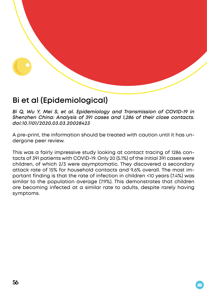#### **Bi et al (Epidemiological)**

Bi Q, Wu Y, Mei S, et al. Epidemiology and Transmission of COVID-19 in *Shenzhen China: Analysis of 391 cases and 1,286 of their close contacts. doi:10.1101/2020.03.03.20028423*

A pre-print, the information should be treated with caution until it has undergone peer review.

This was a fairly impressive study looking at contact tracing of 1286 contacts of 391 patients with COVID-19. Only 20 (5.1%) of the initial 391 cases were children, of which 2/3 were asymptomatic. They discovered a secondary attack rate of 15% for household contacts and 9.6% overall. The most important finding is that the rate of infection in children <10 years (7.4%) was similar to the population average (7.9%). This demonstrates that children are becoming infected at a similar rate to adults, despite rarely having symptoms.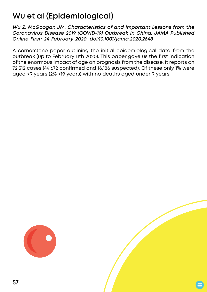#### **Wu et al (Epidemiological)**

*Wu Z, McGoogan JM. Characteristics of and Important Lessons from the Coronavirus Disease 2019 (COVID-19) Outbreak in China. JAMA Published Online First: 24 February 2020. doi:10.1001/jama.2020.2648*

A cornerstone paper outlining the initial epidemiological data from the outbreak (up to February 11th 2020). This paper gave us the first indication of the enormous impact of age on prognosis from the disease. It reports on 72,312 cases (44,672 confirmed and 16,186 suspected). Of these only 1% were aged <9 years (2% <19 years) with no deaths aged under 9 years.